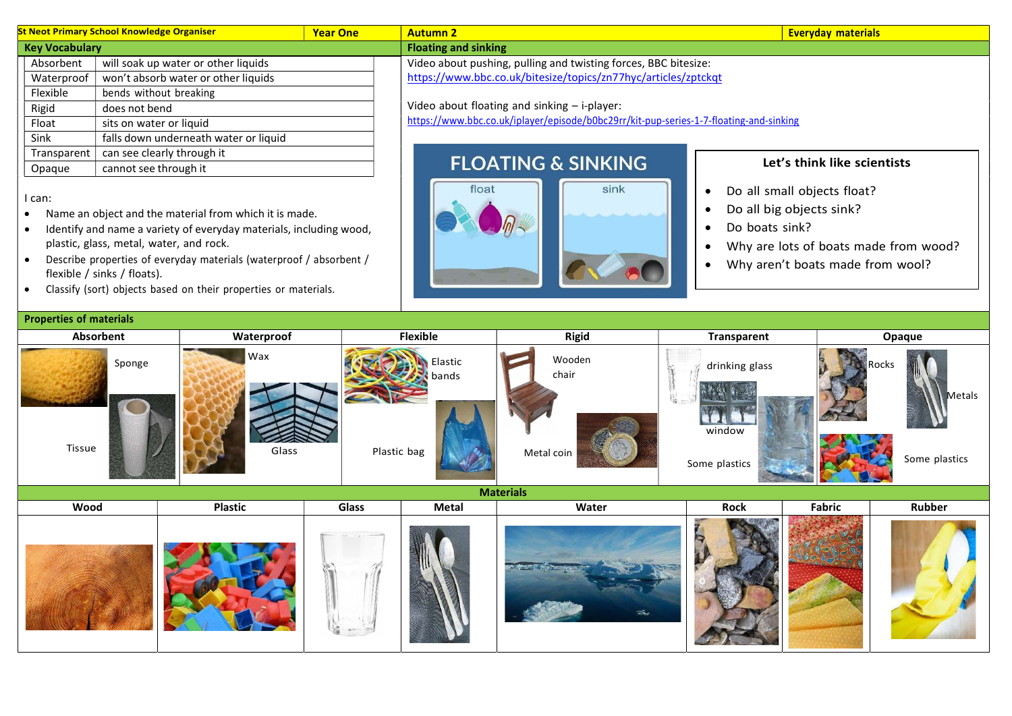| <b>St Neot Primary School Knowledge Organiser</b><br><b>Year One</b> |                                       | <b>Everyday materials</b><br><b>Autumn 2</b> |                                                                                        |                             |  |  |
|----------------------------------------------------------------------|---------------------------------------|----------------------------------------------|----------------------------------------------------------------------------------------|-----------------------------|--|--|
| <b>Key Vocabulary</b>                                                |                                       |                                              | <b>Floating and sinking</b>                                                            |                             |  |  |
| Absorbent                                                            | will soak up water or other liquids   |                                              | Video about pushing, pulling and twisting forces, BBC bitesize:                        |                             |  |  |
| Waterproof                                                           | won't absorb water or other liquids   |                                              | https://www.bbc.co.uk/bitesize/topics/zn77hyc/articles/zptckqt                         |                             |  |  |
| Flexible                                                             | bends without breaking                |                                              |                                                                                        |                             |  |  |
| Rigid                                                                | does not bend                         |                                              | Video about floating and sinking - i-player:                                           |                             |  |  |
| Float                                                                | sits on water or liquid               |                                              | https://www.bbc.co.uk/iplayer/episode/b0bc29rr/kit-pup-series-1-7-floating-and-sinking |                             |  |  |
| Sink                                                                 | falls down underneath water or liquid |                                              |                                                                                        |                             |  |  |
| Transparent                                                          | can see clearly through it            |                                              |                                                                                        |                             |  |  |
| Opaque                                                               | cannot see through it                 |                                              | <b>FLOATING &amp; SINKING</b>                                                          | Let's think like scientists |  |  |

I can:

- Name an object and the material from which it is made.
- Identify and name a variety of everyday materials, including wood, plastic, glass, metal, water, and rock.
- Describe properties of everyday materials (waterproof / absorbent / flexible / sinks / floats).
- Classify (sort) objects based on their properties or materials.

## **Floating and sinking**

## Video about floating and sinking – i-player:

## **FLOATING & SINKING** float sink



## Let's think like scientists

- Do all small objects float?
- Do all big objects sink?
- Do boats sink?
- Why are lots of boats made from wood?
- Why aren't boats made from wool?

| <b>Properties of materials</b> |              |                                        |                               |                                           |                                                   |  |
|--------------------------------|--------------|----------------------------------------|-------------------------------|-------------------------------------------|---------------------------------------------------|--|
| Absorbent                      | Waterproof   | <b>Flexible</b>                        | <b>Rigid</b>                  | Transparent                               | Opaque                                            |  |
| Sponge                         | Wax<br>Glass | Elastic<br><b>bands</b><br>Plastic bag | Wooden<br>chair<br>Metal coin | drinking glass<br>window<br>Some plastics | Rocks<br>Metals<br>$\mathcal{L}$<br>Some plastics |  |

**Materials** 

| Wood | <b>Plastic</b> | Glass | Metal | Water                                                                                                                                                                                                                                                                                                                                                       | Rock       | Fabric | Rubber |
|------|----------------|-------|-------|-------------------------------------------------------------------------------------------------------------------------------------------------------------------------------------------------------------------------------------------------------------------------------------------------------------------------------------------------------------|------------|--------|--------|
|      |                |       |       | $\frac{1}{2} \sum_{i=1}^n \frac{1}{2} \sum_{i=1}^n \frac{1}{2} \sum_{i=1}^n \frac{1}{2} \sum_{i=1}^n \frac{1}{2} \sum_{i=1}^n \frac{1}{2} \sum_{i=1}^n \frac{1}{2} \sum_{i=1}^n \frac{1}{2} \sum_{i=1}^n \frac{1}{2} \sum_{i=1}^n \frac{1}{2} \sum_{i=1}^n \frac{1}{2} \sum_{i=1}^n \frac{1}{2} \sum_{i=1}^n \frac{1}{2} \sum_{i=1}^n \frac{1}{2} \sum_{i=$ | <b>SEP</b> |        |        |